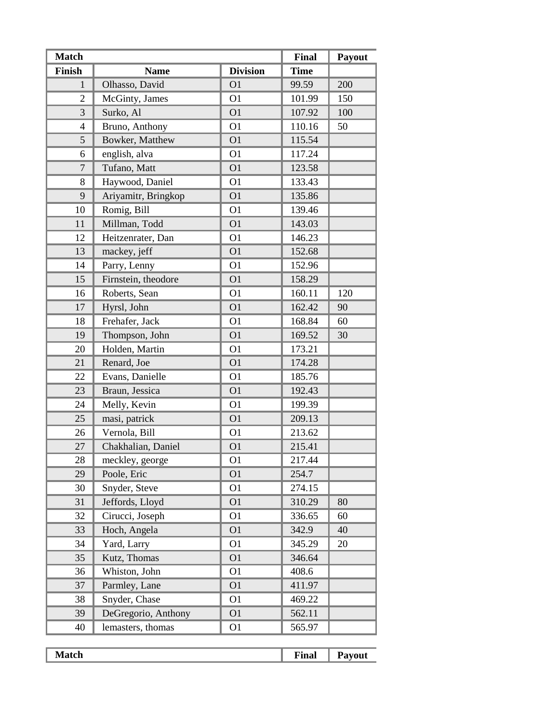| <b>Match</b>   |                     |                 | <b>Final</b> | Payout |
|----------------|---------------------|-----------------|--------------|--------|
| <b>Finish</b>  | <b>Name</b>         | <b>Division</b> | <b>Time</b>  |        |
| $\mathbf{1}$   | Olhasso, David      | O <sub>1</sub>  | 99.59        | 200    |
| $\overline{2}$ | McGinty, James      | O <sub>1</sub>  | 101.99       | 150    |
| 3              | Surko, Al           | O <sub>1</sub>  | 107.92       | 100    |
| $\overline{4}$ | Bruno, Anthony      | O <sub>1</sub>  | 110.16       | 50     |
| 5              | Bowker, Matthew     | O <sub>1</sub>  | 115.54       |        |
| 6              | english, alva       | O <sub>1</sub>  | 117.24       |        |
| $\overline{7}$ | Tufano, Matt        | O <sub>1</sub>  | 123.58       |        |
| 8              | Haywood, Daniel     | O <sub>1</sub>  | 133.43       |        |
| 9              | Ariyamitr, Bringkop | O <sub>1</sub>  | 135.86       |        |
| 10             | Romig, Bill         | O <sub>1</sub>  | 139.46       |        |
| 11             | Millman, Todd       | O <sub>1</sub>  | 143.03       |        |
| 12             | Heitzenrater, Dan   | O <sub>1</sub>  | 146.23       |        |
| 13             | mackey, jeff        | O <sub>1</sub>  | 152.68       |        |
| 14             | Parry, Lenny        | O <sub>1</sub>  | 152.96       |        |
| 15             | Firnstein, theodore | O <sub>1</sub>  | 158.29       |        |
| 16             | Roberts, Sean       | O <sub>1</sub>  | 160.11       | 120    |
| 17             | Hyrsl, John         | O <sub>1</sub>  | 162.42       | 90     |
| 18             | Frehafer, Jack      | O <sub>1</sub>  | 168.84       | 60     |
| 19             | Thompson, John      | O <sub>1</sub>  | 169.52       | 30     |
| 20             | Holden, Martin      | O <sub>1</sub>  | 173.21       |        |
| 21             | Renard, Joe         | O <sub>1</sub>  | 174.28       |        |
| 22             | Evans, Danielle     | O <sub>1</sub>  | 185.76       |        |
| 23             | Braun, Jessica      | O <sub>1</sub>  | 192.43       |        |
| 24             | Melly, Kevin        | O <sub>1</sub>  | 199.39       |        |
| 25             | masi, patrick       | O <sub>1</sub>  | 209.13       |        |
| 26             | Vernola, Bill       | O <sub>1</sub>  | 213.62       |        |
| 27             | Chakhalian, Daniel  | O <sub>1</sub>  | 215.41       |        |
| 28             | meckley, george     | O1              | 217.44       |        |
| 29             | Poole, Eric         | O <sub>1</sub>  | 254.7        |        |
| 30             | Snyder, Steve       | O <sub>1</sub>  | 274.15       |        |
| 31             | Jeffords, Lloyd     | O <sub>1</sub>  | 310.29       | 80     |
| 32             | Cirucci, Joseph     | O <sub>1</sub>  | 336.65       | 60     |
| 33             | Hoch, Angela        | O <sub>1</sub>  | 342.9        | 40     |
| 34             | Yard, Larry         | O <sub>1</sub>  | 345.29       | 20     |
| 35             | Kutz, Thomas        | O <sub>1</sub>  | 346.64       |        |
| 36             | Whiston, John       | O <sub>1</sub>  | 408.6        |        |
| 37             | Parmley, Lane       | O <sub>1</sub>  | 411.97       |        |
| 38             | Snyder, Chase       | O <sub>1</sub>  | 469.22       |        |
| 39             | DeGregorio, Anthony | O <sub>1</sub>  | 562.11       |        |
| 40             | lemasters, thomas   | O <sub>1</sub>  | 565.97       |        |

| UП<br>-------- | inal |  |
|----------------|------|--|
|                |      |  |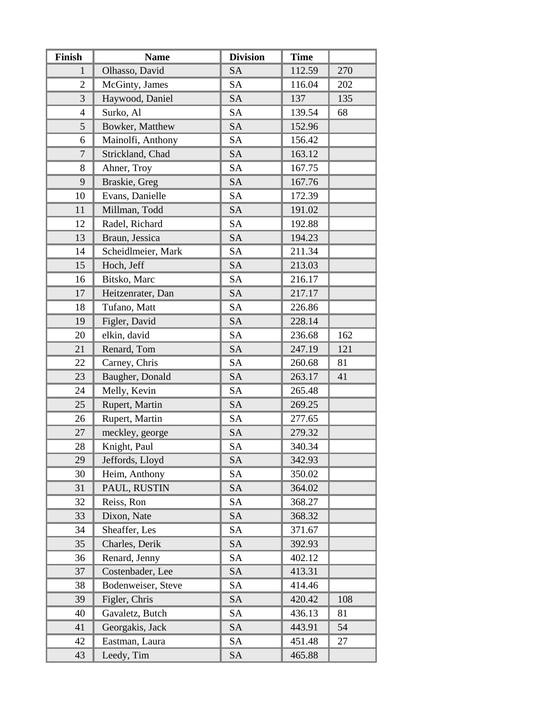| Finish                   | <b>Name</b>        | <b>Division</b> | <b>Time</b> |     |
|--------------------------|--------------------|-----------------|-------------|-----|
| 1                        | Olhasso, David     | <b>SA</b>       | 112.59      | 270 |
| $\mathfrak{2}$           | McGinty, James     | <b>SA</b>       | 116.04      | 202 |
| 3                        | Haywood, Daniel    | <b>SA</b>       | 137         | 135 |
| $\overline{\mathcal{A}}$ | Surko, Al          | <b>SA</b>       | 139.54      | 68  |
| 5                        | Bowker, Matthew    | <b>SA</b>       | 152.96      |     |
| 6                        | Mainolfi, Anthony  | <b>SA</b>       | 156.42      |     |
| $\overline{7}$           | Strickland, Chad   | <b>SA</b>       | 163.12      |     |
| 8                        | Ahner, Troy        | <b>SA</b>       | 167.75      |     |
| 9                        | Braskie, Greg      | <b>SA</b>       | 167.76      |     |
| 10                       | Evans, Danielle    | <b>SA</b>       | 172.39      |     |
| 11                       | Millman, Todd      | <b>SA</b>       | 191.02      |     |
| 12                       | Radel, Richard     | <b>SA</b>       | 192.88      |     |
| 13                       | Braun, Jessica     | <b>SA</b>       | 194.23      |     |
| 14                       | Scheidlmeier, Mark | <b>SA</b>       | 211.34      |     |
| 15                       | Hoch, Jeff         | <b>SA</b>       | 213.03      |     |
| 16                       | Bitsko, Marc       | <b>SA</b>       | 216.17      |     |
| 17                       | Heitzenrater, Dan  | <b>SA</b>       | 217.17      |     |
| 18                       | Tufano, Matt       | <b>SA</b>       | 226.86      |     |
| 19                       | Figler, David      | <b>SA</b>       | 228.14      |     |
| 20                       | elkin, david       | <b>SA</b>       | 236.68      | 162 |
| 21                       | Renard, Tom        | <b>SA</b>       | 247.19      | 121 |
| 22                       | Carney, Chris      | <b>SA</b>       | 260.68      | 81  |
| 23                       | Baugher, Donald    | <b>SA</b>       | 263.17      | 41  |
| 24                       | Melly, Kevin       | <b>SA</b>       | 265.48      |     |
| 25                       | Rupert, Martin     | <b>SA</b>       | 269.25      |     |
| 26                       | Rupert, Martin     | <b>SA</b>       | 277.65      |     |
| 27                       | meckley, george    | <b>SA</b>       | 279.32      |     |
| 28                       | Knight, Paul       | <b>SA</b>       | 340.34      |     |
| 29                       | Jeffords, Lloyd    | SA              | 342.93      |     |
| 30                       | Heim, Anthony      | <b>SA</b>       | 350.02      |     |
| 31                       | PAUL, RUSTIN       | <b>SA</b>       | 364.02      |     |
| 32                       | Reiss, Ron         | <b>SA</b>       | 368.27      |     |
| 33                       | Dixon, Nate        | <b>SA</b>       | 368.32      |     |
| 34                       | Sheaffer, Les      | SA              | 371.67      |     |
| 35                       | Charles, Derik     | <b>SA</b>       | 392.93      |     |
| 36                       | Renard, Jenny      | SA              | 402.12      |     |
| 37                       | Costenbader, Lee   | <b>SA</b>       | 413.31      |     |
| 38                       | Bodenweiser, Steve | SA              | 414.46      |     |
| 39                       | Figler, Chris      | <b>SA</b>       | 420.42      | 108 |
| 40                       | Gavaletz, Butch    | SA              | 436.13      | 81  |
| 41                       | Georgakis, Jack    | <b>SA</b>       | 443.91      | 54  |
| 42                       | Eastman, Laura     | SA              | 451.48      | 27  |
| 43                       | Leedy, Tim         | <b>SA</b>       | 465.88      |     |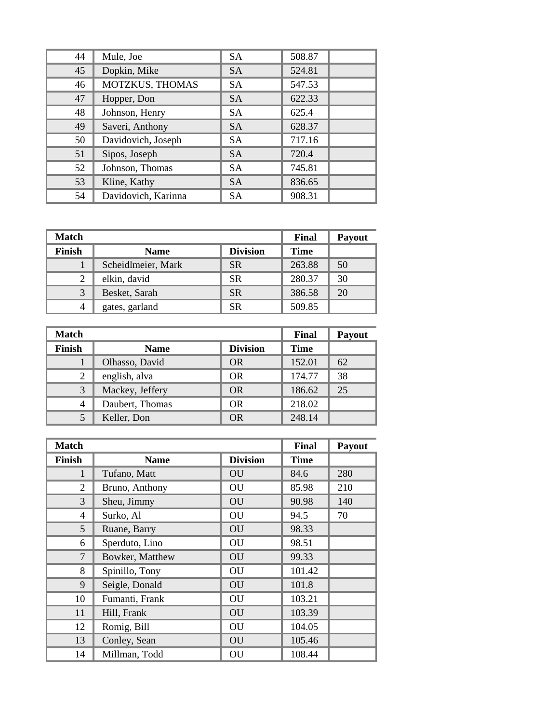| 44 | Mule, Joe           | <b>SA</b> | 508.87 |
|----|---------------------|-----------|--------|
| 45 | Dopkin, Mike        | <b>SA</b> | 524.81 |
| 46 | MOTZKUS, THOMAS     | <b>SA</b> | 547.53 |
| 47 | Hopper, Don         | <b>SA</b> | 622.33 |
| 48 | Johnson, Henry      | <b>SA</b> | 625.4  |
| 49 | Saveri, Anthony     | <b>SA</b> | 628.37 |
| 50 | Davidovich, Joseph  | <b>SA</b> | 717.16 |
| 51 | Sipos, Joseph       | <b>SA</b> | 720.4  |
| 52 | Johnson, Thomas     | <b>SA</b> | 745.81 |
| 53 | Kline, Kathy        | <b>SA</b> | 836.65 |
| 54 | Davidovich, Karinna | SA        | 908.31 |

| <b>Match</b>  |                    |                 | Final       | <b>Payout</b> |
|---------------|--------------------|-----------------|-------------|---------------|
| <b>Finish</b> | <b>Name</b>        | <b>Division</b> | <b>Time</b> |               |
|               | Scheidlmeier, Mark | <b>SR</b>       | 263.88      | 50            |
| 2             | elkin, david       | <b>SR</b>       | 280.37      | 30            |
| 3             | Besket, Sarah      | <b>SR</b>       | 386.58      | 20            |
|               | gates, garland     | <b>SR</b>       | 509.85      |               |

| <b>Match</b>   |                 |                 | Final       | <b>Payout</b> |
|----------------|-----------------|-----------------|-------------|---------------|
| <b>Finish</b>  | <b>Name</b>     | <b>Division</b> | <b>Time</b> |               |
|                | Olhasso, David  | <b>OR</b>       | 152.01      | 62            |
| 2              | english, alva   | OR.             | 174.77      | 38            |
| 3              | Mackey, Jeffery | OR.             | 186.62      | 25            |
| $\overline{4}$ | Daubert, Thomas | <b>OR</b>       | 218.02      |               |
| 5              | Keller, Don     | <b>OR</b>       | 248.14      |               |

| <b>Match</b>    |                 |                 | Final       | Payout |
|-----------------|-----------------|-----------------|-------------|--------|
| Finish          | <b>Name</b>     | <b>Division</b> | <b>Time</b> |        |
| 1               | Tufano, Matt    | OU              | 84.6        | 280    |
| 2               | Bruno, Anthony  | OU              | 85.98       | 210    |
| 3               | Sheu, Jimmy     | <b>OU</b>       | 90.98       | 140    |
| $\overline{4}$  | Surko, Al       | OU              | 94.5        | 70     |
| $5\overline{)}$ | Ruane, Barry    | <b>OU</b>       | 98.33       |        |
| 6               | Sperduto, Lino  | OU              | 98.51       |        |
| $\overline{7}$  | Bowker, Matthew | OU              | 99.33       |        |
| 8               | Spinillo, Tony  | OU              | 101.42      |        |
| 9               | Seigle, Donald  | OU              | 101.8       |        |
| 10              | Fumanti, Frank  | OU              | 103.21      |        |
| 11              | Hill, Frank     | <b>OU</b>       | 103.39      |        |
| 12              | Romig, Bill     | OU              | 104.05      |        |
| 13              | Conley, Sean    | OU              | 105.46      |        |
| 14              | Millman, Todd   | OU              | 108.44      |        |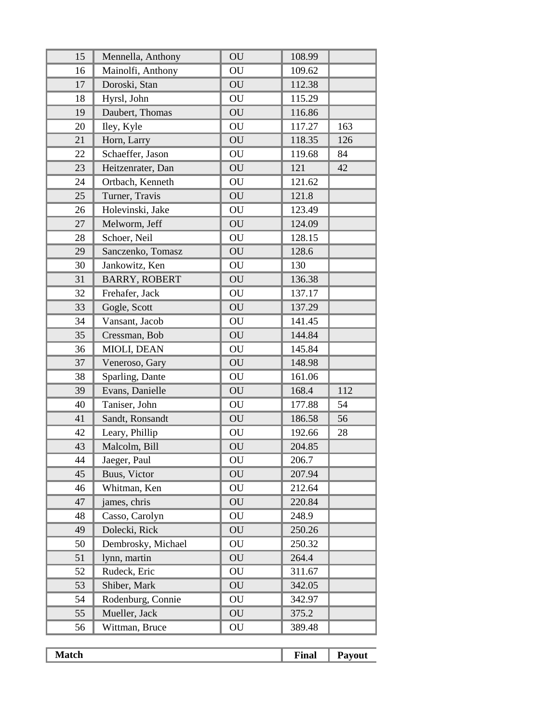| 15 | Mennella, Anthony    | OU | 108.99 |     |
|----|----------------------|----|--------|-----|
| 16 | Mainolfi, Anthony    | OU | 109.62 |     |
| 17 | Doroski, Stan        | OU | 112.38 |     |
| 18 | Hyrsl, John          | OU | 115.29 |     |
| 19 | Daubert, Thomas      | OU | 116.86 |     |
| 20 | Iley, Kyle           | OU | 117.27 | 163 |
| 21 | Horn, Larry          | OU | 118.35 | 126 |
| 22 | Schaeffer, Jason     | OU | 119.68 | 84  |
| 23 | Heitzenrater, Dan    | OU | 121    | 42  |
| 24 | Ortbach, Kenneth     | OU | 121.62 |     |
| 25 | Turner, Travis       | OU | 121.8  |     |
| 26 | Holevinski, Jake     | OU | 123.49 |     |
| 27 | Melworm, Jeff        | OU | 124.09 |     |
| 28 | Schoer, Neil         | OU | 128.15 |     |
| 29 | Sanczenko, Tomasz    | OU | 128.6  |     |
| 30 | Jankowitz, Ken       | OU | 130    |     |
| 31 | <b>BARRY, ROBERT</b> | OU | 136.38 |     |
| 32 | Frehafer, Jack       | OU | 137.17 |     |
| 33 | Gogle, Scott         | OU | 137.29 |     |
| 34 | Vansant, Jacob       | OU | 141.45 |     |
| 35 | Cressman, Bob        | OU | 144.84 |     |
| 36 | MIOLI, DEAN          | OU | 145.84 |     |
| 37 | Veneroso, Gary       | OU | 148.98 |     |
| 38 | Sparling, Dante      | OU | 161.06 |     |
| 39 | Evans, Danielle      | OU | 168.4  | 112 |
| 40 | Taniser, John        | OU | 177.88 | 54  |
| 41 | Sandt, Ronsandt      | OU | 186.58 | 56  |
| 42 | Leary, Phillip       | OU | 192.66 | 28  |
| 43 | Malcolm, Bill        | OU | 204.85 |     |
| 44 | Jaeger, Paul         | OU | 206.7  |     |
| 45 | Buus, Victor         | OU | 207.94 |     |
| 46 | Whitman, Ken         | OU | 212.64 |     |
| 47 | james, chris         | OU | 220.84 |     |
| 48 | Casso, Carolyn       | OU | 248.9  |     |
| 49 | Dolecki, Rick        | OU | 250.26 |     |
| 50 | Dembrosky, Michael   | OU | 250.32 |     |
| 51 | lynn, martin         | OU | 264.4  |     |
| 52 | Rudeck, Eric         | OU | 311.67 |     |
| 53 | Shiber, Mark         | OU | 342.05 |     |
| 54 | Rodenburg, Connie    | OU | 342.97 |     |
| 55 | Mueller, Jack        | OU | 375.2  |     |
| 56 | Wittman, Bruce       | OU | 389.48 |     |

| cп<br>-------- | `inal<br>____ | - |
|----------------|---------------|---|
|                |               |   |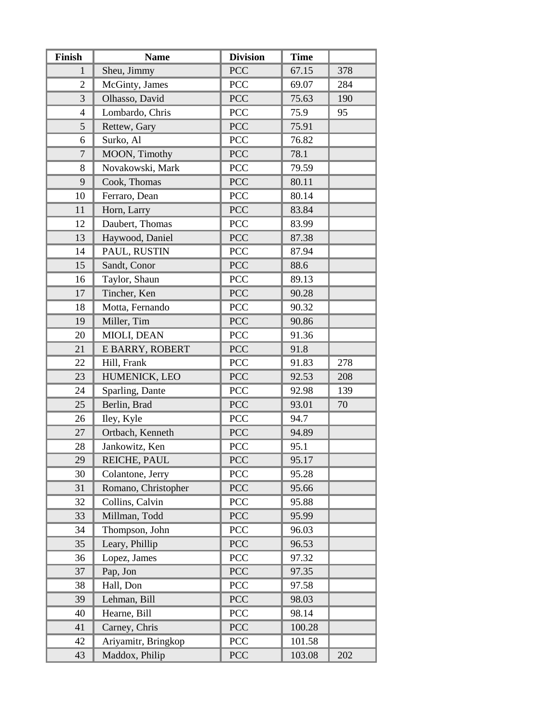| Finish         | <b>Name</b>         | <b>Division</b> | <b>Time</b> |     |
|----------------|---------------------|-----------------|-------------|-----|
| 1              | Sheu, Jimmy         | <b>PCC</b>      | 67.15       | 378 |
| $\overline{2}$ | McGinty, James      | <b>PCC</b>      | 69.07       | 284 |
| 3              | Olhasso, David      | <b>PCC</b>      | 75.63       | 190 |
| $\overline{4}$ | Lombardo, Chris     | PCC             | 75.9        | 95  |
| 5              | Rettew, Gary        | <b>PCC</b>      | 75.91       |     |
| 6              | Surko, Al           | <b>PCC</b>      | 76.82       |     |
| $\overline{7}$ | MOON, Timothy       | <b>PCC</b>      | 78.1        |     |
| 8              | Novakowski, Mark    | <b>PCC</b>      | 79.59       |     |
| 9              | Cook, Thomas        | <b>PCC</b>      | 80.11       |     |
| 10             | Ferraro, Dean       | PCC             | 80.14       |     |
| 11             | Horn, Larry         | <b>PCC</b>      | 83.84       |     |
| 12             | Daubert, Thomas     | PCC             | 83.99       |     |
| 13             | Haywood, Daniel     | PCC             | 87.38       |     |
| 14             | PAUL, RUSTIN        | PCC             | 87.94       |     |
| 15             | Sandt, Conor        | <b>PCC</b>      | 88.6        |     |
| 16             | Taylor, Shaun       | <b>PCC</b>      | 89.13       |     |
| 17             | Tincher, Ken        | <b>PCC</b>      | 90.28       |     |
| 18             | Motta, Fernando     | PCC             | 90.32       |     |
| 19             | Miller, Tim         | <b>PCC</b>      | 90.86       |     |
| 20             | MIOLI, DEAN         | <b>PCC</b>      | 91.36       |     |
| 21             | E BARRY, ROBERT     | <b>PCC</b>      | 91.8        |     |
| 22             | Hill, Frank         | PCC             | 91.83       | 278 |
| 23             | HUMENICK, LEO       | <b>PCC</b>      | 92.53       | 208 |
| 24             | Sparling, Dante     | PCC             | 92.98       | 139 |
| 25             | Berlin, Brad        | <b>PCC</b>      | 93.01       | 70  |
| 26             | Iley, Kyle          | PCC             | 94.7        |     |
| 27             | Ortbach, Kenneth    | <b>PCC</b>      | 94.89       |     |
| 28             | Jankowitz, Ken      | <b>PCC</b>      | 95.1        |     |
| 29             | REICHE, PAUL        | <b>PCC</b>      | 95.17       |     |
| 30             | Colantone, Jerry    | PCC             | 95.28       |     |
| 31             | Romano, Christopher | <b>PCC</b>      | 95.66       |     |
| 32             | Collins, Calvin     | <b>PCC</b>      | 95.88       |     |
| 33             | Millman, Todd       | <b>PCC</b>      | 95.99       |     |
| 34             | Thompson, John      | <b>PCC</b>      | 96.03       |     |
| 35             | Leary, Phillip      | <b>PCC</b>      | 96.53       |     |
| 36             | Lopez, James        | <b>PCC</b>      | 97.32       |     |
| 37             | Pap, Jon            | <b>PCC</b>      | 97.35       |     |
| 38             | Hall, Don           | <b>PCC</b>      | 97.58       |     |
| 39             | Lehman, Bill        | <b>PCC</b>      | 98.03       |     |
| 40             | Hearne, Bill        | <b>PCC</b>      | 98.14       |     |
| 41             | Carney, Chris       | <b>PCC</b>      | 100.28      |     |
| 42             | Ariyamitr, Bringkop | <b>PCC</b>      | 101.58      |     |
| 43             | Maddox, Philip      | PCC             | 103.08      | 202 |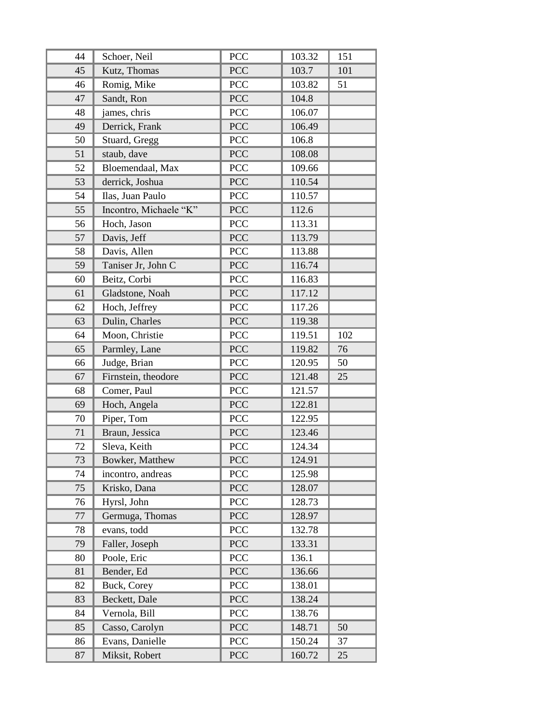| 44 | Schoer, Neil           | <b>PCC</b> | 103.32 | 151 |
|----|------------------------|------------|--------|-----|
| 45 | Kutz, Thomas           | <b>PCC</b> | 103.7  | 101 |
| 46 | Romig, Mike            | PCC        | 103.82 | 51  |
| 47 | Sandt, Ron             | <b>PCC</b> | 104.8  |     |
| 48 | james, chris           | PCC        | 106.07 |     |
| 49 | Derrick, Frank         | <b>PCC</b> | 106.49 |     |
| 50 | Stuard, Gregg          | PCC        | 106.8  |     |
| 51 | staub, dave            | <b>PCC</b> | 108.08 |     |
| 52 | Bloemendaal, Max       | PCC        | 109.66 |     |
| 53 | derrick, Joshua        | PCC        | 110.54 |     |
| 54 | Ilas, Juan Paulo       | PCC        | 110.57 |     |
| 55 | Incontro, Michaele "K" | PCC        | 112.6  |     |
| 56 | Hoch, Jason            | PCC        | 113.31 |     |
| 57 | Davis, Jeff            | <b>PCC</b> | 113.79 |     |
| 58 | Davis, Allen           | PCC        | 113.88 |     |
| 59 | Taniser Jr, John C     | <b>PCC</b> | 116.74 |     |
| 60 | Beitz, Corbi           | PCC        | 116.83 |     |
| 61 | Gladstone, Noah        | PCC        | 117.12 |     |
| 62 | Hoch, Jeffrey          | <b>PCC</b> | 117.26 |     |
| 63 | Dulin, Charles         | <b>PCC</b> | 119.38 |     |
| 64 | Moon, Christie         | PCC        | 119.51 | 102 |
| 65 | Parmley, Lane          | <b>PCC</b> | 119.82 | 76  |
| 66 | Judge, Brian           | PCC        | 120.95 | 50  |
| 67 | Firnstein, theodore    | <b>PCC</b> | 121.48 | 25  |
| 68 | Comer, Paul            | PCC        | 121.57 |     |
| 69 | Hoch, Angela           | <b>PCC</b> | 122.81 |     |
| 70 | Piper, Tom             | <b>PCC</b> | 122.95 |     |
| 71 | Braun, Jessica         | <b>PCC</b> | 123.46 |     |
| 72 | Sleva, Keith           | PCC        | 124.34 |     |
| 73 | Bowker, Matthew        | PCC        | 124.91 |     |
| 74 | incontro, andreas      | PCC        | 125.98 |     |
| 75 | Krisko, Dana           | <b>PCC</b> | 128.07 |     |
| 76 | Hyrsl, John            | <b>PCC</b> | 128.73 |     |
| 77 | Germuga, Thomas        | <b>PCC</b> | 128.97 |     |
| 78 | evans, todd            | PCC        | 132.78 |     |
| 79 | Faller, Joseph         | <b>PCC</b> | 133.31 |     |
| 80 | Poole, Eric            | PCC        | 136.1  |     |
| 81 | Bender, Ed             | <b>PCC</b> | 136.66 |     |
| 82 | Buck, Corey            | <b>PCC</b> | 138.01 |     |
| 83 | Beckett, Dale          | <b>PCC</b> | 138.24 |     |
| 84 | Vernola, Bill          | <b>PCC</b> | 138.76 |     |
| 85 | Casso, Carolyn         | <b>PCC</b> | 148.71 | 50  |
| 86 | Evans, Danielle        | <b>PCC</b> | 150.24 | 37  |
| 87 | Miksit, Robert         | <b>PCC</b> | 160.72 | 25  |